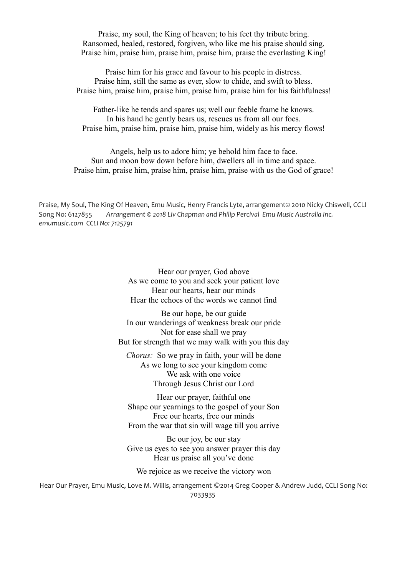Praise, my soul, the King of heaven; to his feet thy tribute bring. Ransomed, healed, restored, forgiven, who like me his praise should sing. Praise him, praise him, praise him, praise him, praise the everlasting King!

Praise him for his grace and favour to his people in distress. Praise him, still the same as ever, slow to chide, and swift to bless. Praise him, praise him, praise him, praise him, praise him for his faithfulness!

Father-like he tends and spares us; well our feeble frame he knows. In his hand he gently bears us, rescues us from all our foes. Praise him, praise him, praise him, praise him, widely as his mercy flows!

Angels, help us to adore him; ye behold him face to face. Sun and moon bow down before him, dwellers all in time and space. Praise him, praise him, praise him, praise him, praise with us the God of grace!

Praise, My Soul, The King Of Heaven, Emu Music, Henry Francis Lyte, arrangement© 2010 Nicky Chiswell, CCLI Song No: 6127855 *Arrangement © 2018 Liv Chapman and Philip Percival Emu Music Australia Inc. emumusic.com CCLI No: 7125791*

> Hear our prayer, God above As we come to you and seek your patient love Hear our hearts, hear our minds Hear the echoes of the words we cannot find

Be our hope, be our guide In our wanderings of weakness break our pride Not for ease shall we pray But for strength that we may walk with you this day

*Chorus:* So we pray in faith, your will be done As we long to see your kingdom come We ask with one voice Through Jesus Christ our Lord

Hear our prayer, faithful one Shape our yearnings to the gospel of your Son Free our hearts, free our minds From the war that sin will wage till you arrive

Be our joy, be our stay Give us eyes to see you answer prayer this day Hear us praise all you've done

We rejoice as we receive the victory won

Hear Our Prayer, Emu Music, Love M. Willis, arrangement ©2014 Greg Cooper & Andrew Judd, CCLI Song No: 7033935